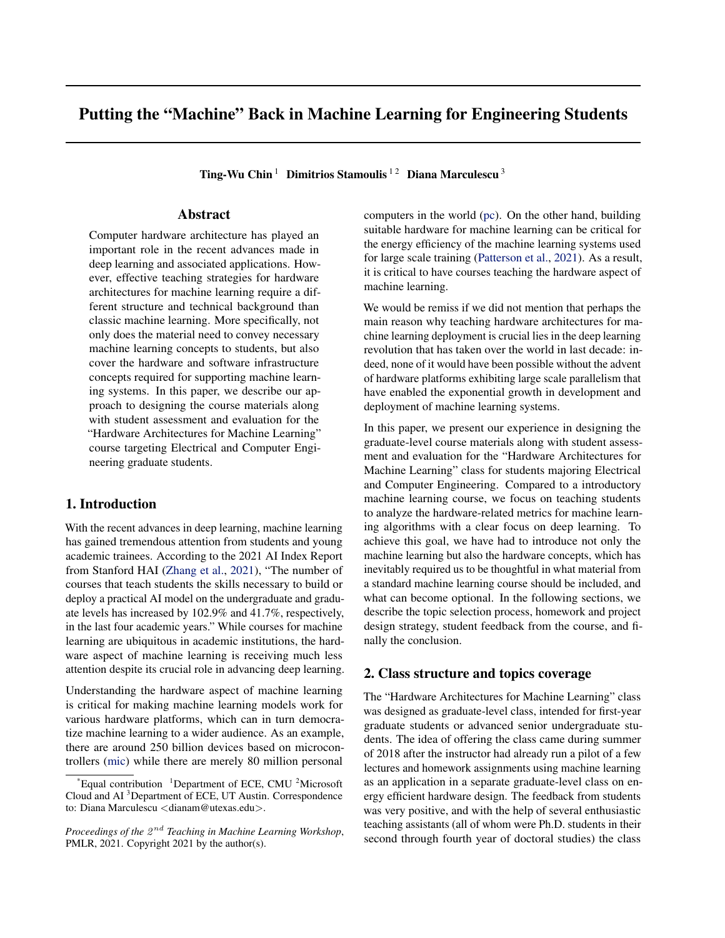# Putting the "Machine" Back in Machine Learning for Engineering Students

Ting-Wu Chin<sup>1</sup> Dimitrios Stamoulis<sup>12</sup> Diana Marculescu<sup>3</sup>

## Abstract

Computer hardware architecture has played an important role in the recent advances made in deep learning and associated applications. However, effective teaching strategies for hardware architectures for machine learning require a different structure and technical background than classic machine learning. More specifically, not only does the material need to convey necessary machine learning concepts to students, but also cover the hardware and software infrastructure concepts required for supporting machine learning systems. In this paper, we describe our approach to designing the course materials along with student assessment and evaluation for the "Hardware Architectures for Machine Learning" course targeting Electrical and Computer Engineering graduate students.

## 1. Introduction

With the recent advances in deep learning, machine learning has gained tremendous attention from students and young academic trainees. According to the 2021 AI Index Report from Stanford HAI [\(Zhang et al.,](#page-4-0) [2021\)](#page-4-0), "The number of courses that teach students the skills necessary to build or deploy a practical AI model on the undergraduate and graduate levels has increased by 102.9% and 41.7%, respectively, in the last four academic years." While courses for machine learning are ubiquitous in academic institutions, the hardware aspect of machine learning is receiving much less attention despite its crucial role in advancing deep learning.

Understanding the hardware aspect of machine learning is critical for making machine learning models work for various hardware platforms, which can in turn democratize machine learning to a wider audience. As an example, there are around 250 billion devices based on microcontrollers [\(mic\)](#page-4-0) while there are merely 80 million personal

computers in the world [\(pc\)](#page-4-0). On the other hand, building suitable hardware for machine learning can be critical for the energy efficiency of the machine learning systems used for large scale training [\(Patterson et al.,](#page-4-0) [2021\)](#page-4-0). As a result, it is critical to have courses teaching the hardware aspect of machine learning.

We would be remiss if we did not mention that perhaps the main reason why teaching hardware architectures for machine learning deployment is crucial lies in the deep learning revolution that has taken over the world in last decade: indeed, none of it would have been possible without the advent of hardware platforms exhibiting large scale parallelism that have enabled the exponential growth in development and deployment of machine learning systems.

In this paper, we present our experience in designing the graduate-level course materials along with student assessment and evaluation for the "Hardware Architectures for Machine Learning" class for students majoring Electrical and Computer Engineering. Compared to a introductory machine learning course, we focus on teaching students to analyze the hardware-related metrics for machine learning algorithms with a clear focus on deep learning. To achieve this goal, we have had to introduce not only the machine learning but also the hardware concepts, which has inevitably required us to be thoughtful in what material from a standard machine learning course should be included, and what can become optional. In the following sections, we describe the topic selection process, homework and project design strategy, student feedback from the course, and finally the conclusion.

#### 2. Class structure and topics coverage

The "Hardware Architectures for Machine Learning" class was designed as graduate-level class, intended for first-year graduate students or advanced senior undergraduate students. The idea of offering the class came during summer of 2018 after the instructor had already run a pilot of a few lectures and homework assignments using machine learning as an application in a separate graduate-level class on energy efficient hardware design. The feedback from students was very positive, and with the help of several enthusiastic teaching assistants (all of whom were Ph.D. students in their second through fourth year of doctoral studies) the class

Equal contribution  $1$ Department of ECE, CMU  $2$ Microsoft Cloud and AI <sup>3</sup>Department of ECE, UT Austin. Correspondence to: Diana Marculescu <dianam@utexas.edu>.

Proceedings of the  $2^{nd}$  Teaching in Machine Learning Workshop, PMLR, 2021. Copyright 2021 by the author(s).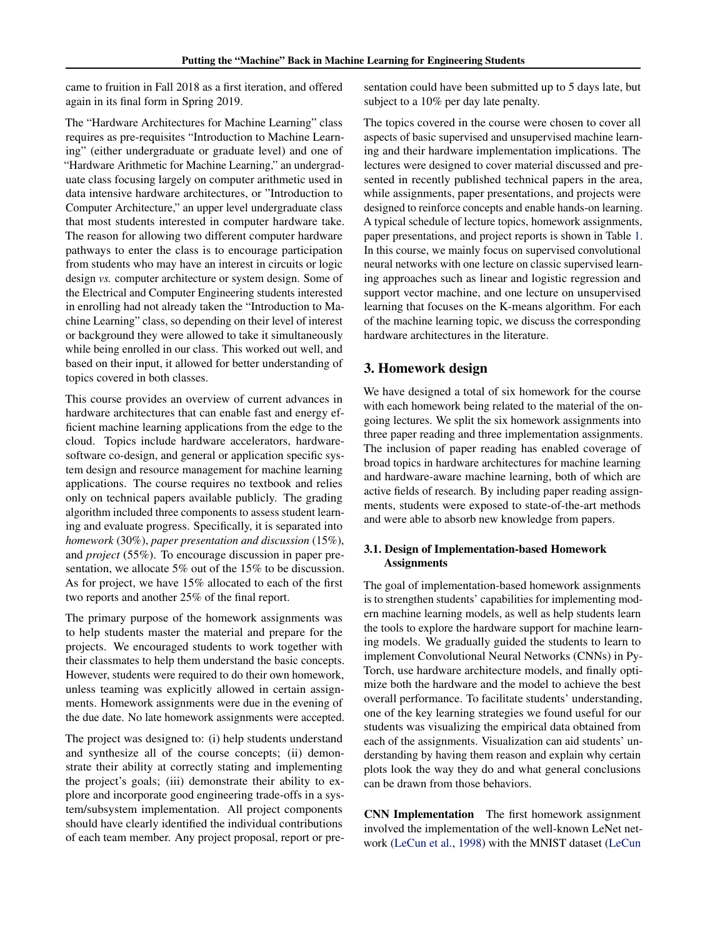came to fruition in Fall 2018 as a first iteration, and offered again in its final form in Spring 2019.

The "Hardware Architectures for Machine Learning" class requires as pre-requisites "Introduction to Machine Learning" (either undergraduate or graduate level) and one of "Hardware Arithmetic for Machine Learning," an undergraduate class focusing largely on computer arithmetic used in data intensive hardware architectures, or "Introduction to Computer Architecture," an upper level undergraduate class that most students interested in computer hardware take. The reason for allowing two different computer hardware pathways to enter the class is to encourage participation from students who may have an interest in circuits or logic design *vs.* computer architecture or system design. Some of the Electrical and Computer Engineering students interested in enrolling had not already taken the "Introduction to Machine Learning" class, so depending on their level of interest or background they were allowed to take it simultaneously while being enrolled in our class. This worked out well, and based on their input, it allowed for better understanding of topics covered in both classes.

This course provides an overview of current advances in hardware architectures that can enable fast and energy efficient machine learning applications from the edge to the cloud. Topics include hardware accelerators, hardwaresoftware co-design, and general or application specific system design and resource management for machine learning applications. The course requires no textbook and relies only on technical papers available publicly. The grading algorithm included three components to assess student learning and evaluate progress. Specifically, it is separated into *homework* (30%), *paper presentation and discussion* (15%), and *project* (55%). To encourage discussion in paper presentation, we allocate 5% out of the 15% to be discussion. As for project, we have 15% allocated to each of the first two reports and another 25% of the final report.

The primary purpose of the homework assignments was to help students master the material and prepare for the projects. We encouraged students to work together with their classmates to help them understand the basic concepts. However, students were required to do their own homework, unless teaming was explicitly allowed in certain assignments. Homework assignments were due in the evening of the due date. No late homework assignments were accepted.

The project was designed to: (i) help students understand and synthesize all of the course concepts; (ii) demonstrate their ability at correctly stating and implementing the project's goals; (iii) demonstrate their ability to explore and incorporate good engineering trade-offs in a system/subsystem implementation. All project components should have clearly identified the individual contributions of each team member. Any project proposal, report or presentation could have been submitted up to 5 days late, but subject to a 10% per day late penalty.

The topics covered in the course were chosen to cover all aspects of basic supervised and unsupervised machine learning and their hardware implementation implications. The lectures were designed to cover material discussed and presented in recently published technical papers in the area, while assignments, paper presentations, and projects were designed to reinforce concepts and enable hands-on learning. A typical schedule of lecture topics, homework assignments, paper presentations, and project reports is shown in Table [1.](#page-2-0) In this course, we mainly focus on supervised convolutional neural networks with one lecture on classic supervised learning approaches such as linear and logistic regression and support vector machine, and one lecture on unsupervised learning that focuses on the K-means algorithm. For each of the machine learning topic, we discuss the corresponding hardware architectures in the literature.

## 3. Homework design

We have designed a total of six homework for the course with each homework being related to the material of the ongoing lectures. We split the six homework assignments into three paper reading and three implementation assignments. The inclusion of paper reading has enabled coverage of broad topics in hardware architectures for machine learning and hardware-aware machine learning, both of which are active fields of research. By including paper reading assignments, students were exposed to state-of-the-art methods and were able to absorb new knowledge from papers.

#### 3.1. Design of Implementation-based Homework **Assignments**

The goal of implementation-based homework assignments is to strengthen students' capabilities for implementing modern machine learning models, as well as help students learn the tools to explore the hardware support for machine learning models. We gradually guided the students to learn to implement Convolutional Neural Networks (CNNs) in Py-Torch, use hardware architecture models, and finally optimize both the hardware and the model to achieve the best overall performance. To facilitate students' understanding, one of the key learning strategies we found useful for our students was visualizing the empirical data obtained from each of the assignments. Visualization can aid students' understanding by having them reason and explain why certain plots look the way they do and what general conclusions can be drawn from those behaviors.

CNN Implementation The first homework assignment involved the implementation of the well-known LeNet network [\(LeCun et al.,](#page-4-0) [1998\) with the MNIST dataset \(LeCun](#page-4-0)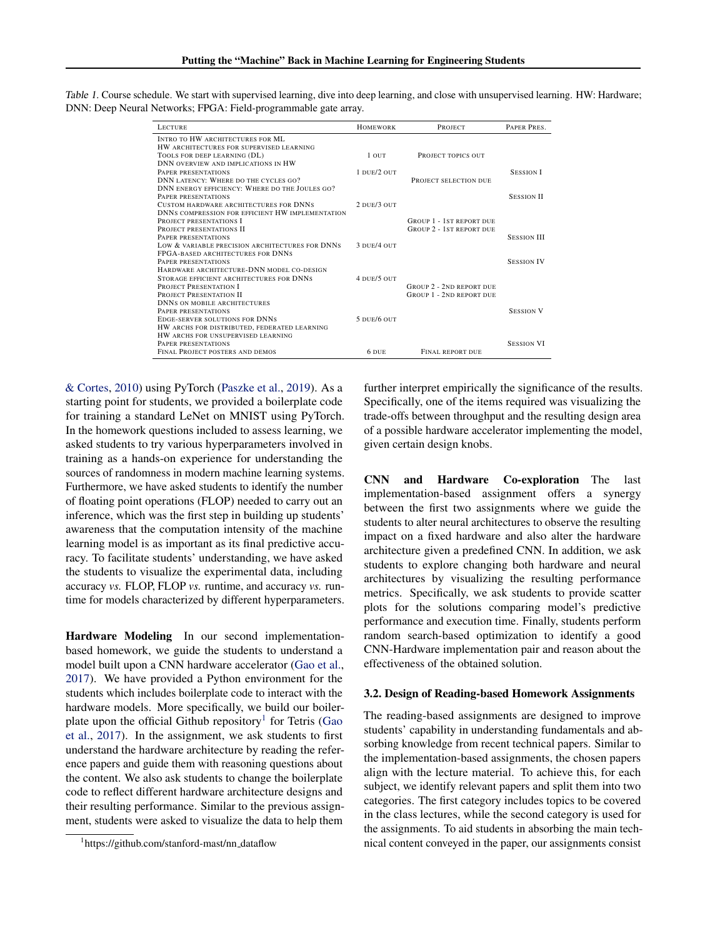| <b>LECTURE</b>                                    | <b>HOMEWORK</b> | PROJECT                                                            | PAPER PRES.        |
|---------------------------------------------------|-----------------|--------------------------------------------------------------------|--------------------|
| <b>INTRO TO HW ARCHITECTURES FOR ML</b>           |                 |                                                                    |                    |
| HW ARCHITECTURES FOR SUPERVISED LEARNING          |                 |                                                                    |                    |
| TOOLS FOR DEEP LEARNING (DL)                      | 1 OUT           | PROJECT TOPICS OUT                                                 |                    |
| DNN OVERVIEW AND IMPLICATIONS IN HW               |                 |                                                                    |                    |
| PAPER PRESENTATIONS                               | 1 DUE/2 OUT     |                                                                    | <b>SESSION I</b>   |
| DNN LATENCY: WHERE DO THE CYCLES GO?              |                 | PROJECT SELECTION DUE                                              |                    |
| DNN ENERGY EFFICIENCY: WHERE DO THE JOULES GO?    |                 |                                                                    |                    |
| PAPER PRESENTATIONS                               |                 |                                                                    | <b>SESSION II</b>  |
| CUSTOM HARDWARE ARCHITECTURES FOR DNNS            | 2 DUE/3 OUT     |                                                                    |                    |
| DNNS COMPRESSION FOR EFFICIENT HW IMPLEMENTATION  |                 |                                                                    |                    |
| <b>PROJECT PRESENTATIONS I</b>                    |                 | <b>GROUP 1 - 1ST REPORT DUE</b>                                    |                    |
| PROJECT PRESENTATIONS II                          |                 | <b>GROUP 2 - 1ST REPORT DUE</b>                                    |                    |
| PAPER PRESENTATIONS                               |                 |                                                                    | <b>SESSION III</b> |
| LOW & VARIABLE PRECISION ARCHITECTURES FOR DNNS   | 3 DUE/4 OUT     |                                                                    |                    |
| FPGA-BASED ARCHITECTURES FOR DNNS                 |                 |                                                                    |                    |
| PAPER PRESENTATIONS                               |                 |                                                                    | <b>SESSION IV</b>  |
| HARDWARE ARCHITECTURE-DNN MODEL CO-DESIGN         | 4 DUE/5 OUT     |                                                                    |                    |
| <b>STORAGE EFFICIENT ARCHITECTURES FOR DNNS</b>   |                 |                                                                    |                    |
| PROJECT PRESENTATION I<br>PROJECT PRESENTATION II |                 | <b>GROUP 2 - 2ND REPORT DUE</b><br><b>GROUP 1 - 2ND REPORT DUE</b> |                    |
| <b>DNNS ON MOBILE ARCHITECTURES</b>               |                 |                                                                    |                    |
| PAPER PRESENTATIONS                               |                 |                                                                    | <b>SESSION V</b>   |
| <b>EDGE-SERVER SOLUTIONS FOR DNNS</b>             | 5 DUE/6 OUT     |                                                                    |                    |
| HW ARCHS FOR DISTRIBUTED, FEDERATED LEARNING      |                 |                                                                    |                    |
| HW ARCHS FOR UNSUPERVISED LEARNING                |                 |                                                                    |                    |
| PAPER PRESENTATIONS                               |                 |                                                                    | <b>SESSION VI</b>  |
| FINAL PROJECT POSTERS AND DEMOS                   | 6 DUE           | <b>FINAL REPORT DUE</b>                                            |                    |
|                                                   |                 |                                                                    |                    |

<span id="page-2-0"></span>[Table 1.](#page-4-0) [C](#page-4-0)ourse schedule. We start with supervised learning, dive into deep learning, and close with unsupervised learning. HW: Hardware; DNN: Deep Neural Networks; FPGA: Field-programmable gate array.

[& Cortes,](#page-4-0) [2010\)](#page-4-0) using PyTorch [\(Paszke et al.,](#page-4-0) [2019\)](#page-4-0). As a starting point for students, we provided a boilerplate code for training a standard LeNet on MNIST using PyTorch. In the homework questions included to assess learning, we asked students to try various hyperparameters involved in training as a hands-on experience for understanding the sources of randomness in modern machine learning systems. Furthermore, we have asked students to identify the number of floating point operations (FLOP) needed to carry out an inference, which was the first step in building up students' awareness that the computation intensity of the machine learning model is as important as its final predictive accuracy. To facilitate students' understanding, we have asked the students to visualize the experimental data, including accuracy *vs.* FLOP, FLOP *vs.* runtime, and accuracy *vs.* runtime for models characterized by different hyperparameters.

Hardware Modeling In our second implementationbased homework, we guide the students to understand a model built upon a CNN hardware accelerator [\(Gao et al.,](#page-4-0) [2017\)](#page-4-0). We have provided a Python environment for the students which includes boilerplate code to interact with the hardware models. More specifically, we build our boiler-plate upon the official Github repository<sup>1</sup> for Tetris [\(Gao](#page-4-0) [et al.,](#page-4-0) [2017\)](#page-4-0). In the assignment, we ask students to first understand the hardware architecture by reading the reference papers and guide them with reasoning questions about the content. We also ask students to change the boilerplate code to reflect different hardware architecture designs and their resulting performance. Similar to the previous assignment, students were asked to visualize the data to help them

<sup>1</sup>https://github.com/stanford-mast/nn\_dataflow

further interpret empirically the significance of the results. Specifically, one of the items required was visualizing the trade-offs between throughput and the resulting design area of a possible hardware accelerator implementing the model, given certain design knobs.

CNN and Hardware Co-exploration The last implementation-based assignment offers a synergy between the first two assignments where we guide the students to alter neural architectures to observe the resulting impact on a fixed hardware and also alter the hardware architecture given a predefined CNN. In addition, we ask students to explore changing both hardware and neural architectures by visualizing the resulting performance metrics. Specifically, we ask students to provide scatter plots for the solutions comparing model's predictive performance and execution time. Finally, students perform random search-based optimization to identify a good CNN-Hardware implementation pair and reason about the effectiveness of the obtained solution.

#### 3.2. Design of Reading-based Homework Assignments

The reading-based assignments are designed to improve students' capability in understanding fundamentals and absorbing knowledge from recent technical papers. Similar to the implementation-based assignments, the chosen papers align with the lecture material. To achieve this, for each subject, we identify relevant papers and split them into two categories. The first category includes topics to be covered in the class lectures, while the second category is used for the assignments. To aid students in absorbing the main technical content conveyed in the paper, our assignments consist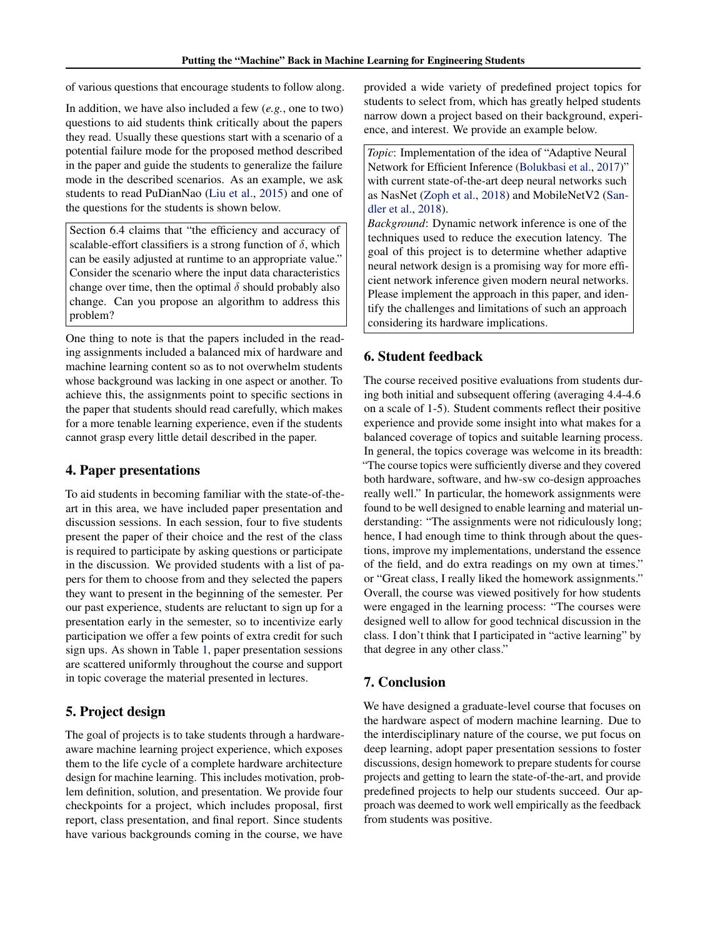of various questions that encourage students to follow along.

In addition, we have also included a few (*e.g.*, one to two) questions to aid students think critically about the papers they read. Usually these questions start with a scenario of a potential failure mode for the proposed method described in the paper and guide the students to generalize the failure mode in the described scenarios. As an example, we ask students to read PuDianNao [\(Liu et al.,](#page-4-0) [2015\)](#page-4-0) and one of the questions for the students is shown below.

Section 6.4 claims that "the efficiency and accuracy of scalable-effort classifiers is a strong function of  $\delta$ , which can be easily adjusted at runtime to an appropriate value." Consider the scenario where the input data characteristics change over time, then the optimal  $\delta$  should probably also change. Can you propose an algorithm to address this problem?

One thing to note is that the papers included in the reading assignments included a balanced mix of hardware and machine learning content so as to not overwhelm students whose background was lacking in one aspect or another. To achieve this, the assignments point to specific sections in the paper that students should read carefully, which makes for a more tenable learning experience, even if the students cannot grasp every little detail described in the paper.

## 4. Paper presentations

To aid students in becoming familiar with the state-of-theart in this area, we have included paper presentation and discussion sessions. In each session, four to five students present the paper of their choice and the rest of the class is required to participate by asking questions or participate in the discussion. We provided students with a list of papers for them to choose from and they selected the papers they want to present in the beginning of the semester. Per our past experience, students are reluctant to sign up for a presentation early in the semester, so to incentivize early participation we offer a few points of extra credit for such sign ups. As shown in Table [1,](#page-2-0) paper presentation sessions are scattered uniformly throughout the course and support in topic coverage the material presented in lectures.

## 5. Project design

The goal of projects is to take students through a hardwareaware machine learning project experience, which exposes them to the life cycle of a complete hardware architecture design for machine learning. This includes motivation, problem definition, solution, and presentation. We provide four checkpoints for a project, which includes proposal, first report, class presentation, and final report. Since students have various backgrounds coming in the course, we have

provided a wide variety of predefined project topics for students to select from, which has greatly helped students narrow down a project based on their background, experience, and interest. We provide an example below.

*Topic*: Implementation of the idea of "Adaptive Neural Network for Efficient Inference [\(Bolukbasi et al.,](#page-4-0) [2017\)](#page-4-0)" with current state-of-the-art deep neural networks such as NasNet [\(Zoph et al.,](#page-4-0) [2018\)](#page-4-0) and MobileNetV2 [\(San](#page-4-0)[dler et al.,](#page-4-0) [2018\)](#page-4-0).

*Background*: Dynamic network inference is one of the techniques used to reduce the execution latency. The goal of this project is to determine whether adaptive neural network design is a promising way for more efficient network inference given modern neural networks. Please implement the approach in this paper, and identify the challenges and limitations of such an approach considering its hardware implications.

## 6. Student feedback

The course received positive evaluations from students during both initial and subsequent offering (averaging 4.4-4.6 on a scale of 1-5). Student comments reflect their positive experience and provide some insight into what makes for a balanced coverage of topics and suitable learning process. In general, the topics coverage was welcome in its breadth: "The course topics were sufficiently diverse and they covered both hardware, software, and hw-sw co-design approaches really well." In particular, the homework assignments were found to be well designed to enable learning and material understanding: "The assignments were not ridiculously long; hence, I had enough time to think through about the questions, improve my implementations, understand the essence of the field, and do extra readings on my own at times." or "Great class, I really liked the homework assignments." Overall, the course was viewed positively for how students were engaged in the learning process: "The courses were designed well to allow for good technical discussion in the class. I don't think that I participated in "active learning" by that degree in any other class."

## 7. Conclusion

We have designed a graduate-level course that focuses on the hardware aspect of modern machine learning. Due to the interdisciplinary nature of the course, we put focus on deep learning, adopt paper presentation sessions to foster discussions, design homework to prepare students for course projects and getting to learn the state-of-the-art, and provide predefined projects to help our students succeed. Our approach was deemed to work well empirically as the feedback from students was positive.